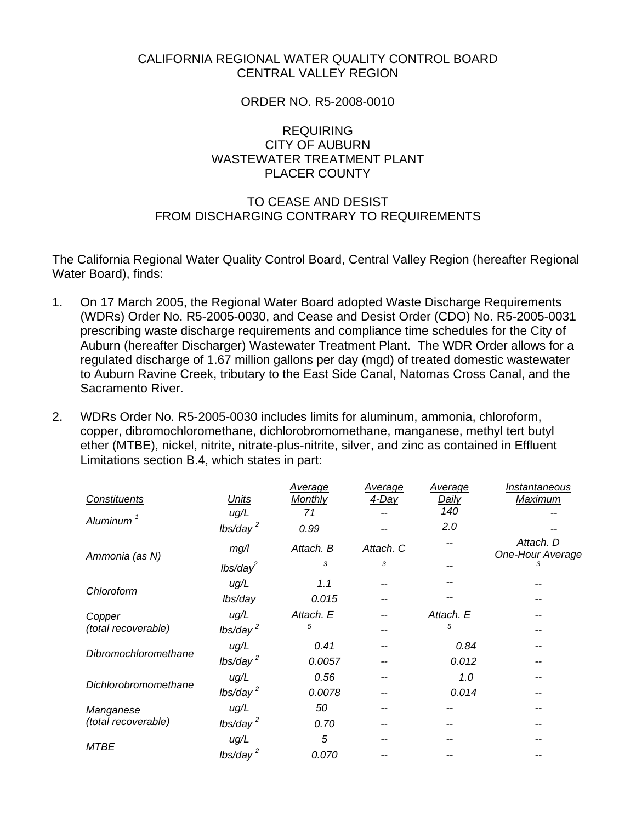## CALIFORNIA REGIONAL WATER QUALITY CONTROL BOARD CENTRAL VALLEY REGION

### ORDER NO. R5-2008-0010

## REQUIRING CITY OF AUBURN WASTEWATER TREATMENT PLANT PLACER COUNTY

# TO CEASE AND DESIST FROM DISCHARGING CONTRARY TO REQUIREMENTS

The California Regional Water Quality Control Board, Central Valley Region (hereafter Regional Water Board), finds:

- 1. On 17 March 2005, the Regional Water Board adopted Waste Discharge Requirements (WDRs) Order No. R5-2005-0030, and Cease and Desist Order (CDO) No. R5-2005-0031 prescribing waste discharge requirements and compliance time schedules for the City of Auburn (hereafter Discharger) Wastewater Treatment Plant. The WDR Order allows for a regulated discharge of 1.67 million gallons per day (mgd) of treated domestic wastewater to Auburn Ravine Creek, tributary to the East Side Canal, Natomas Cross Canal, and the Sacramento River.
- 2. WDRs Order No. R5-2005-0030 includes limits for aluminum, ammonia, chloroform, copper, dibromochloromethane, dichlorobromomethane, manganese, methyl tert butyl ether (MTBE), nickel, nitrite, nitrate-plus-nitrite, silver, and zinc as contained in Effluent Limitations section B.4, which states in part:

|                       |                      | <b>Average</b> | <b>Average</b> | Average      | Instantaneous                 |
|-----------------------|----------------------|----------------|----------------|--------------|-------------------------------|
| Constituents          | <b>Units</b>         | <b>Monthly</b> | 4-Day          | <u>Daily</u> | Maximum                       |
| Aluminum <sup>1</sup> | ug/L                 | 71             |                | 140          |                               |
|                       | lbs/day <sup>2</sup> | 0.99           |                | 2.0          |                               |
| Ammonia (as N)        | mg/l                 | Attach. B      | Attach. C      |              | Attach. D<br>One-Hour Average |
|                       | $lbs/day^2$          | 3              | 3              |              | 3                             |
| Chloroform            | ug/L                 | 1.1            |                |              |                               |
|                       | lbs/day              | 0.015          |                |              |                               |
| Copper                | ug/L                 | Attach. E      |                | Attach. E    |                               |
| (total recoverable)   | lbs/day <sup>2</sup> | 5              |                | 5            |                               |
| Dibromochloromethane  | ug/L                 | 0.41           |                | 0.84         |                               |
|                       | lbs/day <sup>2</sup> | 0.0057         |                | 0.012        |                               |
| Dichlorobromomethane  | ug/L                 | 0.56           |                | 1.0          |                               |
|                       | lbs/day <sup>2</sup> | 0.0078         |                | 0.014        |                               |
| Manganese             | ug/L                 | 50             |                |              |                               |
| (total recoverable)   | lbs/day <sup>2</sup> | 0.70           |                |              |                               |
| <b>MTBE</b>           | ug/L                 | 5              |                |              |                               |
|                       | lbs/day <sup>2</sup> | 0.070          |                |              |                               |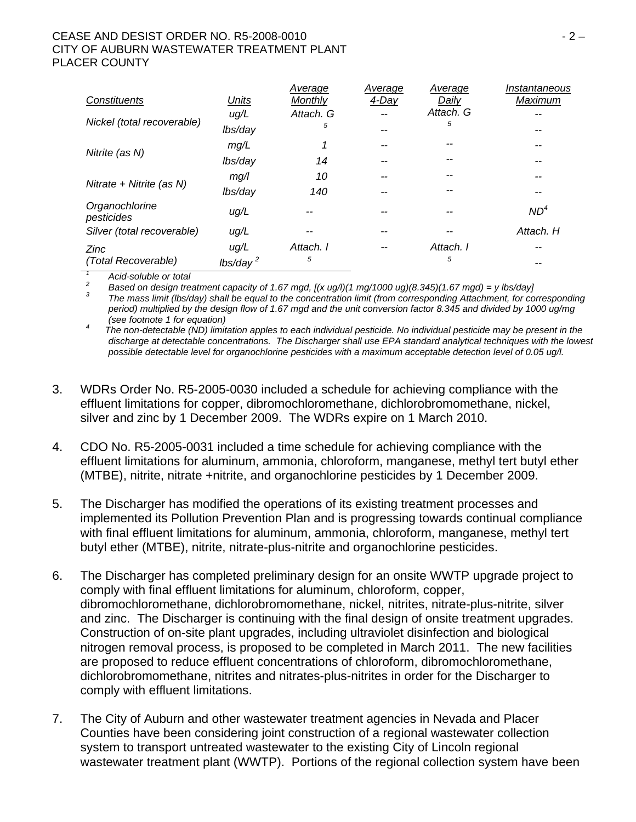### CEASE AND DESIST ORDER NO. R5-2008-0010 **CEASE AND SESSION** - 2 – CITY OF AUBURN WASTEWATER TREATMENT PLANT PLACER COUNTY

|                                                                                                                                            |                      | Average        | Average | Average   | Instantaneous   |
|--------------------------------------------------------------------------------------------------------------------------------------------|----------------------|----------------|---------|-----------|-----------------|
| Constituents                                                                                                                               | <b>Units</b>         | <b>Monthly</b> | 4-Day   | Daily     | Maximum         |
|                                                                                                                                            | ug/L                 | Attach. G      |         | Attach. G |                 |
| Nickel (total recoverable)                                                                                                                 | lbs/day              | 5              | --      | 5         |                 |
| Nitrite (as N)                                                                                                                             | mg/L                 |                |         |           |                 |
|                                                                                                                                            | lbs/day              | 14             |         |           |                 |
| Nitrate + Nitrite (as $N$ )                                                                                                                | mg/l                 | 10             | --      |           |                 |
|                                                                                                                                            | lbs/day              | 140            |         |           |                 |
| Organochlorine<br>pesticides                                                                                                               | ug/L                 |                |         |           | ND <sup>4</sup> |
| Silver (total recoverable)                                                                                                                 | ug/L                 |                |         |           | Attach. H       |
| <b>Zinc</b>                                                                                                                                | ug/L                 | Attach. I      | --      | Attach. I |                 |
| (Total Recoverable)                                                                                                                        | lbs/day <sup>2</sup> | 5              |         | 5         |                 |
| Acid-soluble or total<br>2<br>Bosed on design treatment conseity of 1.67 mad $\frac{\left[\frac{1}{2}n\right]}{\left[\frac{1}{2}n\right]}$ |                      |                |         |           |                 |

 *Based on design treatment capacity of 1.67 mgd, [(x ug/l)(1 mg/1000 ug)(8.345)(1.67 mgd) = y lbs/day] 3*

 *The mass limit (lbs/day) shall be equal to the concentration limit (from corresponding Attachment, for corresponding period) multiplied by the design flow of 1.67 mgd and the unit conversion factor 8.345 and divided by 1000 ug/mg (see footnote 1 for equation) 4*

 *The non-detectable (ND) limitation apples to each individual pesticide. No individual pesticide may be present in the discharge at detectable concentrations. The Discharger shall use EPA standard analytical techniques with the lowest*  possible detectable level for organochlorine pesticides with a maximum acceptable detection level of 0.05 ug/l.

- 3. WDRs Order No. R5-2005-0030 included a schedule for achieving compliance with the effluent limitations for copper, dibromochloromethane, dichlorobromomethane, nickel, silver and zinc by 1 December 2009. The WDRs expire on 1 March 2010.
- 4. CDO No. R5-2005-0031 included a time schedule for achieving compliance with the effluent limitations for aluminum, ammonia, chloroform, manganese, methyl tert butyl ether (MTBE), nitrite, nitrate +nitrite, and organochlorine pesticides by 1 December 2009.
- 5. The Discharger has modified the operations of its existing treatment processes and implemented its Pollution Prevention Plan and is progressing towards continual compliance with final effluent limitations for aluminum, ammonia, chloroform, manganese, methyl tert butyl ether (MTBE), nitrite, nitrate-plus-nitrite and organochlorine pesticides.
- 6. The Discharger has completed preliminary design for an onsite WWTP upgrade project to comply with final effluent limitations for aluminum, chloroform, copper, dibromochloromethane, dichlorobromomethane, nickel, nitrites, nitrate-plus-nitrite, silver and zinc. The Discharger is continuing with the final design of onsite treatment upgrades. Construction of on-site plant upgrades, including ultraviolet disinfection and biological nitrogen removal process, is proposed to be completed in March 2011. The new facilities are proposed to reduce effluent concentrations of chloroform, dibromochloromethane, dichlorobromomethane, nitrites and nitrates-plus-nitrites in order for the Discharger to comply with effluent limitations.
- 7. The City of Auburn and other wastewater treatment agencies in Nevada and Placer Counties have been considering joint construction of a regional wastewater collection system to transport untreated wastewater to the existing City of Lincoln regional wastewater treatment plant (WWTP). Portions of the regional collection system have been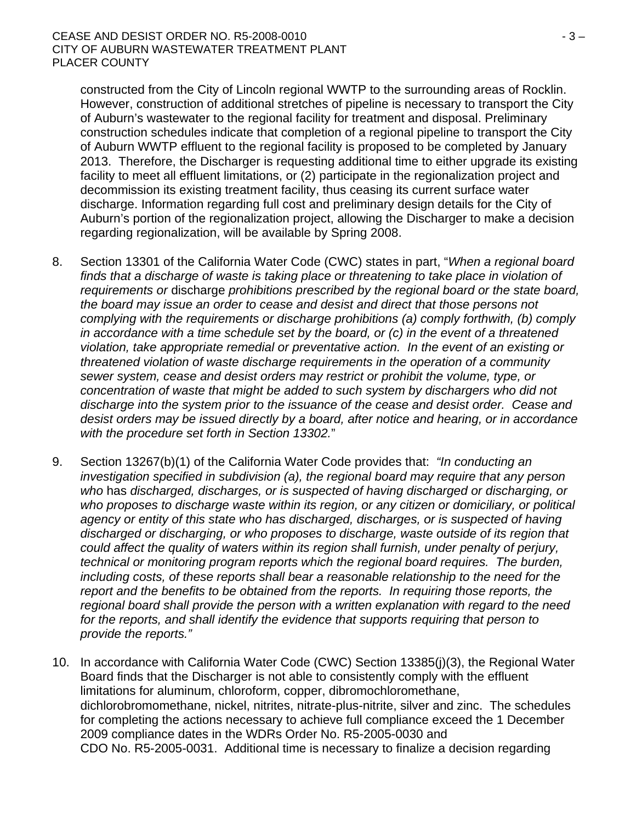constructed from the City of Lincoln regional WWTP to the surrounding areas of Rocklin. However, construction of additional stretches of pipeline is necessary to transport the City of Auburn's wastewater to the regional facility for treatment and disposal. Preliminary construction schedules indicate that completion of a regional pipeline to transport the City of Auburn WWTP effluent to the regional facility is proposed to be completed by January 2013. Therefore, the Discharger is requesting additional time to either upgrade its existing facility to meet all effluent limitations, or (2) participate in the regionalization project and decommission its existing treatment facility, thus ceasing its current surface water discharge. Information regarding full cost and preliminary design details for the City of Auburn's portion of the regionalization project, allowing the Discharger to make a decision regarding regionalization, will be available by Spring 2008.

- 8. Section 13301 of the California Water Code (CWC) states in part, "*When a regional board*  finds that a discharge of waste is taking place or threatening to take place in violation of *requirements or* discharge *prohibitions prescribed by the regional board or the state board, the board may issue an order to cease and desist and direct that those persons not complying with the requirements or discharge prohibitions (a) comply forthwith, (b) comply in accordance with a time schedule set by the board, or (c) in the event of a threatened violation, take appropriate remedial or preventative action. In the event of an existing or threatened violation of waste discharge requirements in the operation of a community sewer system, cease and desist orders may restrict or prohibit the volume, type, or concentration of waste that might be added to such system by dischargers who did not discharge into the system prior to the issuance of the cease and desist order. Cease and desist orders may be issued directly by a board, after notice and hearing, or in accordance with the procedure set forth in Section 13302.*"
- 9. Section 13267(b)(1) of the California Water Code provides that: *"In conducting an investigation specified in subdivision (a), the regional board may require that any person who* has *discharged, discharges, or is suspected of having discharged or discharging, or who proposes to discharge waste within its region, or any citizen or domiciliary, or political agency or entity of this state who has discharged, discharges, or is suspected of having discharged or discharging, or who proposes to discharge, waste outside of its region that could affect the quality of waters within its region shall furnish, under penalty of perjury, technical or monitoring program reports which the regional board requires. The burden, including costs, of these reports shall bear a reasonable relationship to the need for the report and the benefits to be obtained from the reports. In requiring those reports, the regional board shall provide the person with a written explanation with regard to the need for the reports, and shall identify the evidence that supports requiring that person to provide the reports."*
- 10. In accordance with California Water Code (CWC) Section 13385(j)(3), the Regional Water Board finds that the Discharger is not able to consistently comply with the effluent limitations for aluminum, chloroform, copper, dibromochloromethane, dichlorobromomethane, nickel, nitrites, nitrate-plus-nitrite, silver and zinc. The schedules for completing the actions necessary to achieve full compliance exceed the 1 December 2009 compliance dates in the WDRs Order No. R5-2005-0030 and CDO No. R5-2005-0031. Additional time is necessary to finalize a decision regarding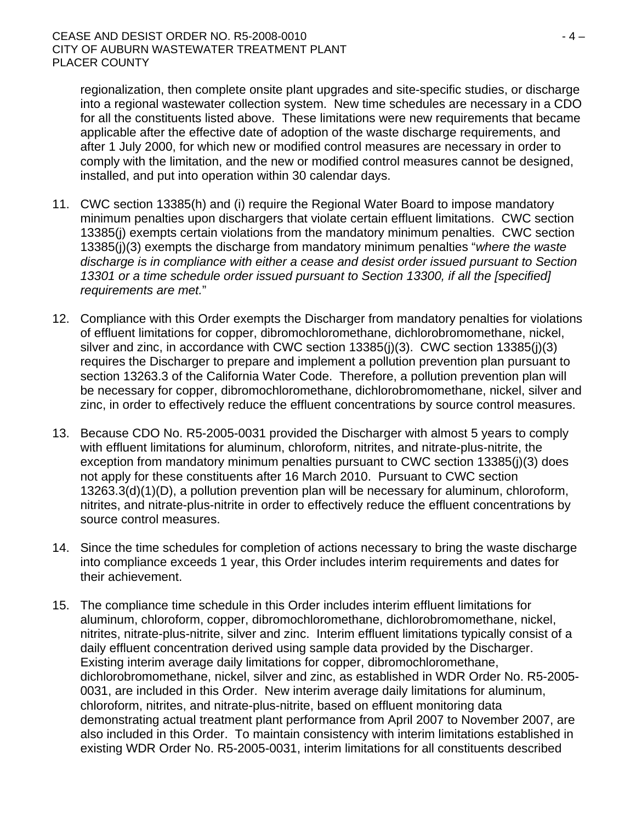regionalization, then complete onsite plant upgrades and site-specific studies, or discharge into a regional wastewater collection system. New time schedules are necessary in a CDO for all the constituents listed above. These limitations were new requirements that became applicable after the effective date of adoption of the waste discharge requirements, and after 1 July 2000, for which new or modified control measures are necessary in order to comply with the limitation, and the new or modified control measures cannot be designed, installed, and put into operation within 30 calendar days.

- 11. CWC section 13385(h) and (i) require the Regional Water Board to impose mandatory minimum penalties upon dischargers that violate certain effluent limitations. CWC section 13385(j) exempts certain violations from the mandatory minimum penalties. CWC section 13385(j)(3) exempts the discharge from mandatory minimum penalties "*where the waste discharge is in compliance with either a cease and desist order issued pursuant to Section 13301 or a time schedule order issued pursuant to Section 13300, if all the [specified] requirements are met.*"
- 12. Compliance with this Order exempts the Discharger from mandatory penalties for violations of effluent limitations for copper, dibromochloromethane, dichlorobromomethane, nickel, silver and zinc, in accordance with CWC section 13385(j)(3). CWC section 13385(j)(3) requires the Discharger to prepare and implement a pollution prevention plan pursuant to section 13263.3 of the California Water Code. Therefore, a pollution prevention plan will be necessary for copper, dibromochloromethane, dichlorobromomethane, nickel, silver and zinc, in order to effectively reduce the effluent concentrations by source control measures.
- 13. Because CDO No. R5-2005-0031 provided the Discharger with almost 5 years to comply with effluent limitations for aluminum, chloroform, nitrites, and nitrate-plus-nitrite, the exception from mandatory minimum penalties pursuant to CWC section 13385(j)(3) does not apply for these constituents after 16 March 2010. Pursuant to CWC section 13263.3(d)(1)(D), a pollution prevention plan will be necessary for aluminum, chloroform, nitrites, and nitrate-plus-nitrite in order to effectively reduce the effluent concentrations by source control measures.
- 14. Since the time schedules for completion of actions necessary to bring the waste discharge into compliance exceeds 1 year, this Order includes interim requirements and dates for their achievement.
- 15. The compliance time schedule in this Order includes interim effluent limitations for aluminum, chloroform, copper, dibromochloromethane, dichlorobromomethane, nickel, nitrites, nitrate-plus-nitrite, silver and zinc. Interim effluent limitations typically consist of a daily effluent concentration derived using sample data provided by the Discharger. Existing interim average daily limitations for copper, dibromochloromethane, dichlorobromomethane, nickel, silver and zinc, as established in WDR Order No. R5-2005- 0031, are included in this Order. New interim average daily limitations for aluminum, chloroform, nitrites, and nitrate-plus-nitrite, based on effluent monitoring data demonstrating actual treatment plant performance from April 2007 to November 2007, are also included in this Order. To maintain consistency with interim limitations established in existing WDR Order No. R5-2005-0031, interim limitations for all constituents described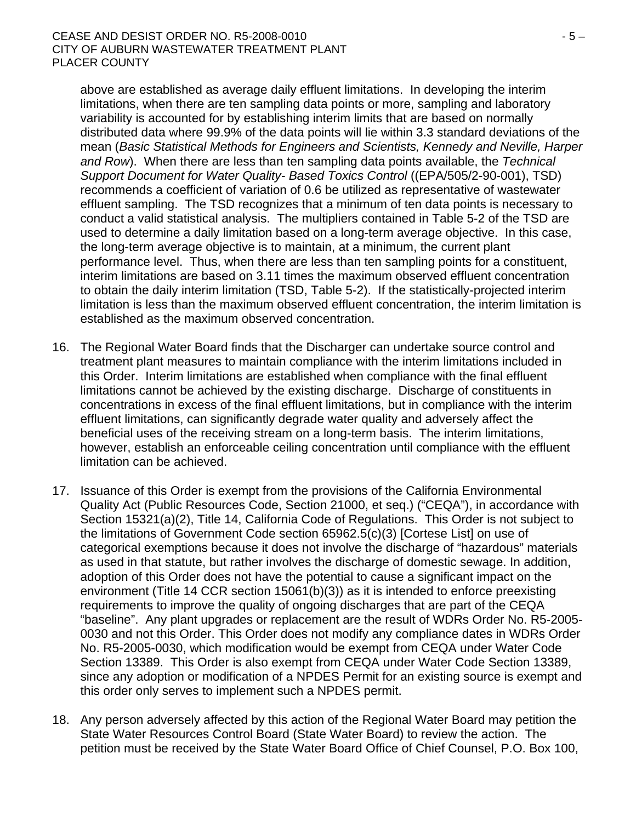above are established as average daily effluent limitations. In developing the interim limitations, when there are ten sampling data points or more, sampling and laboratory variability is accounted for by establishing interim limits that are based on normally distributed data where 99.9% of the data points will lie within 3.3 standard deviations of the mean (*Basic Statistical Methods for Engineers and Scientists, Kennedy and Neville, Harper and Row*). When there are less than ten sampling data points available, the *Technical Support Document for Water Quality- Based Toxics Control* ((EPA/505/2-90-001), TSD) recommends a coefficient of variation of 0.6 be utilized as representative of wastewater effluent sampling. The TSD recognizes that a minimum of ten data points is necessary to conduct a valid statistical analysis. The multipliers contained in Table 5-2 of the TSD are used to determine a daily limitation based on a long-term average objective. In this case, the long-term average objective is to maintain, at a minimum, the current plant performance level. Thus, when there are less than ten sampling points for a constituent, interim limitations are based on 3.11 times the maximum observed effluent concentration to obtain the daily interim limitation (TSD, Table 5-2). If the statistically-projected interim limitation is less than the maximum observed effluent concentration, the interim limitation is established as the maximum observed concentration.

- 16. The Regional Water Board finds that the Discharger can undertake source control and treatment plant measures to maintain compliance with the interim limitations included in this Order. Interim limitations are established when compliance with the final effluent limitations cannot be achieved by the existing discharge. Discharge of constituents in concentrations in excess of the final effluent limitations, but in compliance with the interim effluent limitations, can significantly degrade water quality and adversely affect the beneficial uses of the receiving stream on a long-term basis. The interim limitations, however, establish an enforceable ceiling concentration until compliance with the effluent limitation can be achieved.
- 17. Issuance of this Order is exempt from the provisions of the California Environmental Quality Act (Public Resources Code, Section 21000, et seq.) ("CEQA"), in accordance with Section 15321(a)(2), Title 14, California Code of Regulations. This Order is not subject to the limitations of Government Code section 65962.5(c)(3) [Cortese List] on use of categorical exemptions because it does not involve the discharge of "hazardous" materials as used in that statute, but rather involves the discharge of domestic sewage. In addition, adoption of this Order does not have the potential to cause a significant impact on the environment (Title 14 CCR section 15061(b)(3)) as it is intended to enforce preexisting requirements to improve the quality of ongoing discharges that are part of the CEQA "baseline". Any plant upgrades or replacement are the result of WDRs Order No. R5-2005- 0030 and not this Order. This Order does not modify any compliance dates in WDRs Order No. R5-2005-0030, which modification would be exempt from CEQA under Water Code Section 13389. This Order is also exempt from CEQA under Water Code Section 13389, since any adoption or modification of a NPDES Permit for an existing source is exempt and this order only serves to implement such a NPDES permit.
- 18. Any person adversely affected by this action of the Regional Water Board may petition the State Water Resources Control Board (State Water Board) to review the action. The petition must be received by the State Water Board Office of Chief Counsel, P.O. Box 100,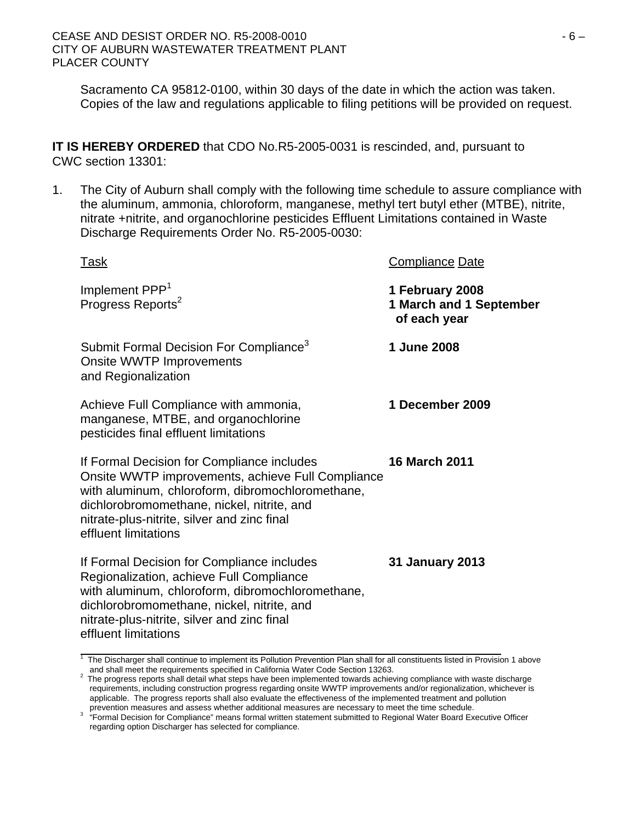Sacramento CA 95812-0100, within 30 days of the date in which the action was taken. Copies of the law and regulations applicable to filing petitions will be provided on request.

**IT IS HEREBY ORDERED** that CDO No.R5-2005-0031 is rescinded, and, pursuant to CWC section 13301:

1. The City of Auburn shall comply with the following time schedule to assure compliance with the aluminum, ammonia, chloroform, manganese, methyl tert butyl ether (MTBE), nitrite, nitrate +nitrite, and organochlorine pesticides Effluent Limitations contained in Waste Discharge Requirements Order No. R5-2005-0030:

| <u>Task</u>                                                                                                                                                                                                                                                              | <b>Compliance Date</b>                                     |
|--------------------------------------------------------------------------------------------------------------------------------------------------------------------------------------------------------------------------------------------------------------------------|------------------------------------------------------------|
| Implement PPP <sup>1</sup><br>Progress Reports <sup>2</sup>                                                                                                                                                                                                              | 1 February 2008<br>1 March and 1 September<br>of each year |
| Submit Formal Decision For Compliance <sup>3</sup><br>Onsite WWTP Improvements<br>and Regionalization                                                                                                                                                                    | 1 June 2008                                                |
| Achieve Full Compliance with ammonia,<br>manganese, MTBE, and organochlorine<br>pesticides final effluent limitations                                                                                                                                                    | 1 December 2009                                            |
| If Formal Decision for Compliance includes<br>Onsite WWTP improvements, achieve Full Compliance<br>with aluminum, chloroform, dibromochloromethane,<br>dichlorobromomethane, nickel, nitrite, and<br>nitrate-plus-nitrite, silver and zinc final<br>effluent limitations | <b>16 March 2011</b>                                       |
| If Formal Decision for Compliance includes<br>Regionalization, achieve Full Compliance<br>with aluminum, chloroform, dibromochloromethane,<br>dichlorobromomethane, nickel, nitrite, and<br>nitrate-plus-nitrite, silver and zinc final<br>effluent limitations          | 31 January 2013                                            |
| $1$ The Discharges shell continue to implement its Dellution Drevention Dlan shell for all constituents lighed in Drevious 4 above                                                                                                                                       |                                                            |

The Discharger shall continue to implement its Pollution Prevention Plan shall for all constituents listed in Provision 1 above

and shall meet the requirements specified in California Water Code Section 13263. 2 The progress reports shall detail what steps have been implemented towards achieving compliance with waste discharge requirements, including construction progress regarding onsite WWTP improvements and/or regionalization, whichever is applicable. The progress reports shall also evaluate the effectiveness of the implemented treatment and pollution

prevention measures and assess whether additional measures are necessary to meet the time schedule.<br><sup>3</sup> "Formal Decision for Compliance" means formal written statement submitted to Regional Water Board Executive Officer regarding option Discharger has selected for compliance.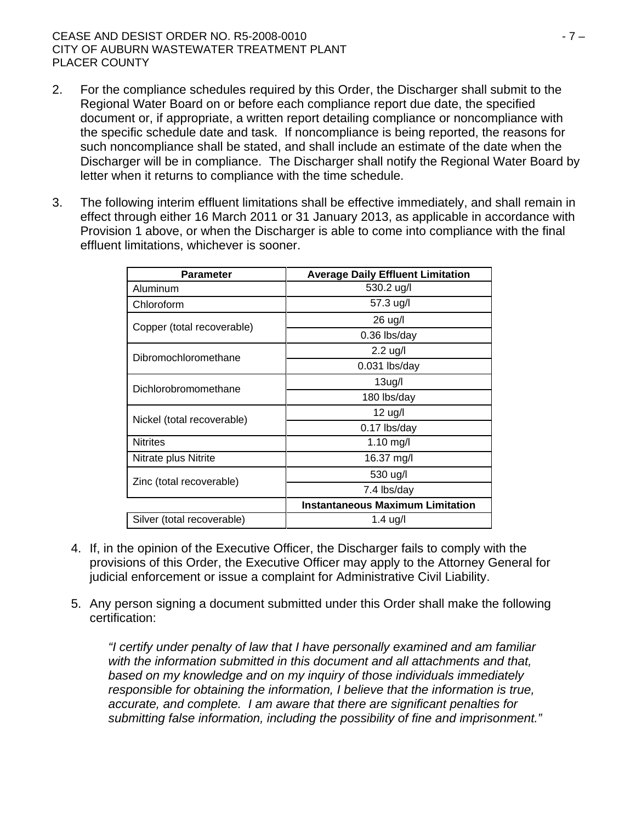- 2. For the compliance schedules required by this Order, the Discharger shall submit to the Regional Water Board on or before each compliance report due date, the specified document or, if appropriate, a written report detailing compliance or noncompliance with the specific schedule date and task. If noncompliance is being reported, the reasons for such noncompliance shall be stated, and shall include an estimate of the date when the Discharger will be in compliance. The Discharger shall notify the Regional Water Board by letter when it returns to compliance with the time schedule.
- 3. The following interim effluent limitations shall be effective immediately, and shall remain in effect through either 16 March 2011 or 31 January 2013, as applicable in accordance with Provision 1 above, or when the Discharger is able to come into compliance with the final effluent limitations, whichever is sooner.

| <b>Parameter</b>           | <b>Average Daily Effluent Limitation</b> |  |  |  |
|----------------------------|------------------------------------------|--|--|--|
| Aluminum                   | 530.2 ug/l                               |  |  |  |
| Chloroform                 | 57.3 ug/l                                |  |  |  |
| Copper (total recoverable) | 26 ug/l                                  |  |  |  |
|                            | 0.36 lbs/day                             |  |  |  |
| Dibromochloromethane       | $2.2$ ug/l                               |  |  |  |
|                            | $0.031$ lbs/day                          |  |  |  |
| Dichlorobromomethane       | 13ug/l                                   |  |  |  |
|                            | 180 lbs/day                              |  |  |  |
|                            | $12$ ug/l                                |  |  |  |
| Nickel (total recoverable) | 0.17 lbs/day                             |  |  |  |
| <b>Nitrites</b>            | 1.10 mg/l                                |  |  |  |
| Nitrate plus Nitrite       | 16.37 mg/l                               |  |  |  |
| Zinc (total recoverable)   | 530 ug/l                                 |  |  |  |
|                            | 7.4 lbs/day                              |  |  |  |
|                            | <b>Instantaneous Maximum Limitation</b>  |  |  |  |
| Silver (total recoverable) | $1.4$ ug/l                               |  |  |  |

- 4. If, in the opinion of the Executive Officer, the Discharger fails to comply with the provisions of this Order, the Executive Officer may apply to the Attorney General for judicial enforcement or issue a complaint for Administrative Civil Liability.
- 5. Any person signing a document submitted under this Order shall make the following certification:

*"I certify under penalty of law that I have personally examined and am familiar with the information submitted in this document and all attachments and that, based on my knowledge and on my inquiry of those individuals immediately responsible for obtaining the information, I believe that the information is true, accurate, and complete. I am aware that there are significant penalties for submitting false information, including the possibility of fine and imprisonment."*